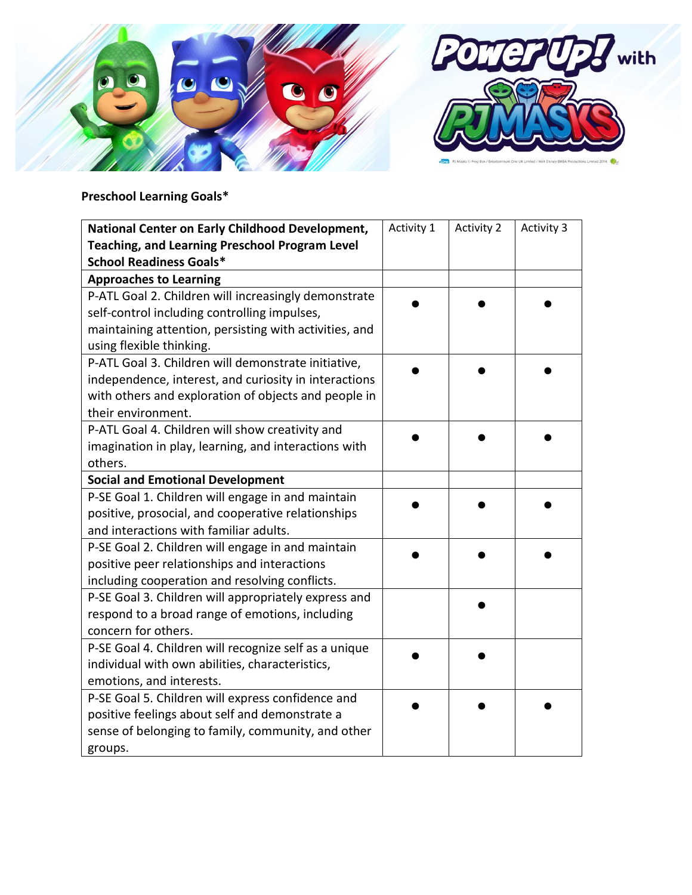

## **Preschool Learning Goals\***

| National Center on Early Childhood Development,        | Activity 1 | <b>Activity 2</b> | Activity 3 |
|--------------------------------------------------------|------------|-------------------|------------|
| <b>Teaching, and Learning Preschool Program Level</b>  |            |                   |            |
| <b>School Readiness Goals*</b>                         |            |                   |            |
| <b>Approaches to Learning</b>                          |            |                   |            |
| P-ATL Goal 2. Children will increasingly demonstrate   |            |                   |            |
| self-control including controlling impulses,           |            |                   |            |
| maintaining attention, persisting with activities, and |            |                   |            |
| using flexible thinking.                               |            |                   |            |
| P-ATL Goal 3. Children will demonstrate initiative,    |            |                   |            |
| independence, interest, and curiosity in interactions  |            |                   |            |
| with others and exploration of objects and people in   |            |                   |            |
| their environment.                                     |            |                   |            |
| P-ATL Goal 4. Children will show creativity and        |            |                   |            |
| imagination in play, learning, and interactions with   |            |                   |            |
| others.                                                |            |                   |            |
| <b>Social and Emotional Development</b>                |            |                   |            |
| P-SE Goal 1. Children will engage in and maintain      |            |                   |            |
| positive, prosocial, and cooperative relationships     |            |                   |            |
| and interactions with familiar adults.                 |            |                   |            |
| P-SE Goal 2. Children will engage in and maintain      |            |                   |            |
| positive peer relationships and interactions           |            |                   |            |
| including cooperation and resolving conflicts.         |            |                   |            |
| P-SE Goal 3. Children will appropriately express and   |            |                   |            |
| respond to a broad range of emotions, including        |            |                   |            |
| concern for others.                                    |            |                   |            |
| P-SE Goal 4. Children will recognize self as a unique  |            |                   |            |
| individual with own abilities, characteristics,        |            |                   |            |
| emotions, and interests.                               |            |                   |            |
| P-SE Goal 5. Children will express confidence and      |            |                   |            |
| positive feelings about self and demonstrate a         |            |                   |            |
| sense of belonging to family, community, and other     |            |                   |            |
| groups.                                                |            |                   |            |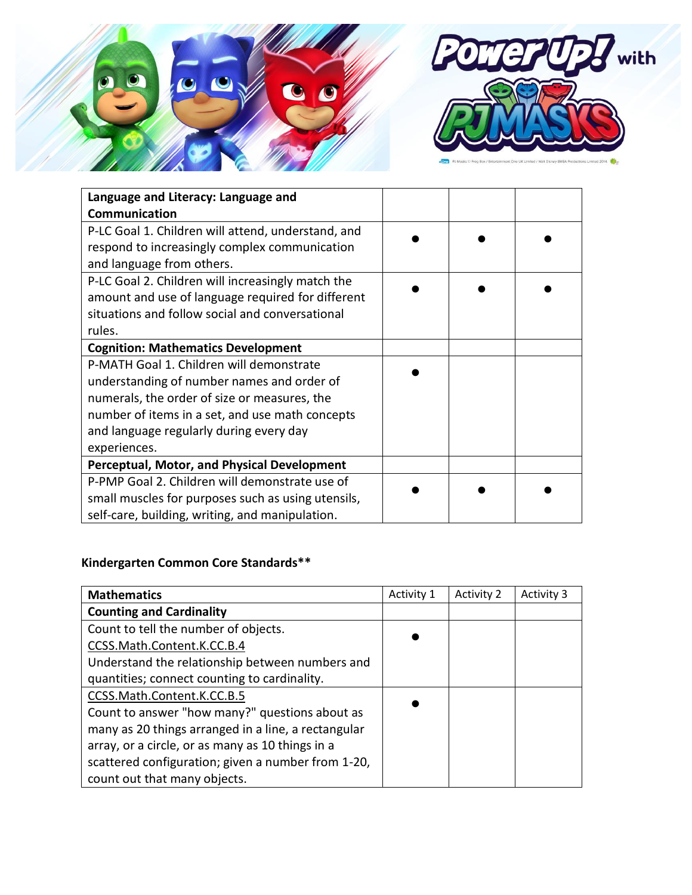

| Language and Literacy: Language and                |  |  |
|----------------------------------------------------|--|--|
| <b>Communication</b>                               |  |  |
| P-LC Goal 1. Children will attend, understand, and |  |  |
| respond to increasingly complex communication      |  |  |
| and language from others.                          |  |  |
| P-LC Goal 2. Children will increasingly match the  |  |  |
| amount and use of language required for different  |  |  |
| situations and follow social and conversational    |  |  |
| rules.                                             |  |  |
| <b>Cognition: Mathematics Development</b>          |  |  |
| P-MATH Goal 1. Children will demonstrate           |  |  |
| understanding of number names and order of         |  |  |
| numerals, the order of size or measures, the       |  |  |
| number of items in a set, and use math concepts    |  |  |
| and language regularly during every day            |  |  |
| experiences.                                       |  |  |
| <b>Perceptual, Motor, and Physical Development</b> |  |  |
| P-PMP Goal 2. Children will demonstrate use of     |  |  |
| small muscles for purposes such as using utensils, |  |  |
| self-care, building, writing, and manipulation.    |  |  |

## **Kindergarten Common Core Standards\*\***

| <b>Mathematics</b>                                  | Activity 1 | <b>Activity 2</b> | Activity 3 |
|-----------------------------------------------------|------------|-------------------|------------|
| <b>Counting and Cardinality</b>                     |            |                   |            |
| Count to tell the number of objects.                |            |                   |            |
| CCSS.Math.Content.K.CC.B.4                          |            |                   |            |
| Understand the relationship between numbers and     |            |                   |            |
| quantities; connect counting to cardinality.        |            |                   |            |
| CCSS.Math.Content.K.CC.B.5                          |            |                   |            |
| Count to answer "how many?" questions about as      |            |                   |            |
| many as 20 things arranged in a line, a rectangular |            |                   |            |
| array, or a circle, or as many as 10 things in a    |            |                   |            |
| scattered configuration; given a number from 1-20,  |            |                   |            |
| count out that many objects.                        |            |                   |            |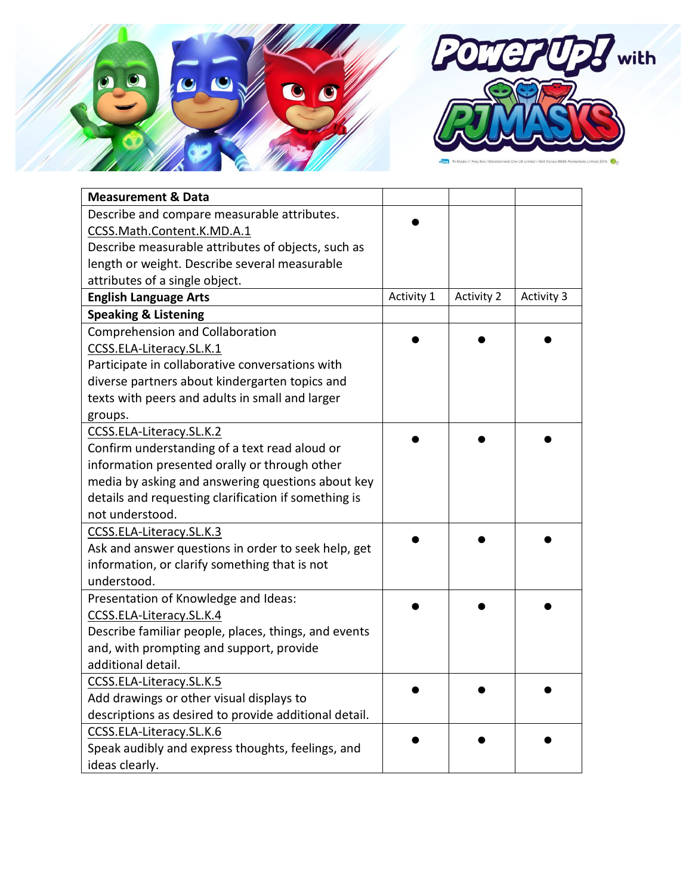

| <b>Measurement &amp; Data</b>                         |            |                   |            |
|-------------------------------------------------------|------------|-------------------|------------|
| Describe and compare measurable attributes.           |            |                   |            |
| CCSS.Math.Content.K.MD.A.1                            |            |                   |            |
| Describe measurable attributes of objects, such as    |            |                   |            |
| length or weight. Describe several measurable         |            |                   |            |
| attributes of a single object.                        |            |                   |            |
| <b>English Language Arts</b>                          | Activity 1 | <b>Activity 2</b> | Activity 3 |
| <b>Speaking &amp; Listening</b>                       |            |                   |            |
| <b>Comprehension and Collaboration</b>                |            |                   |            |
| CCSS.ELA-Literacy.SL.K.1                              |            |                   |            |
| Participate in collaborative conversations with       |            |                   |            |
| diverse partners about kindergarten topics and        |            |                   |            |
| texts with peers and adults in small and larger       |            |                   |            |
| groups.                                               |            |                   |            |
| CCSS.ELA-Literacy.SL.K.2                              |            |                   |            |
| Confirm understanding of a text read aloud or         |            |                   |            |
| information presented orally or through other         |            |                   |            |
| media by asking and answering questions about key     |            |                   |            |
| details and requesting clarification if something is  |            |                   |            |
| not understood.                                       |            |                   |            |
| CCSS.ELA-Literacy.SL.K.3                              |            |                   |            |
| Ask and answer questions in order to seek help, get   |            |                   |            |
| information, or clarify something that is not         |            |                   |            |
| understood.                                           |            |                   |            |
| Presentation of Knowledge and Ideas:                  |            |                   |            |
| CCSS.ELA-Literacy.SL.K.4                              |            |                   |            |
| Describe familiar people, places, things, and events  |            |                   |            |
| and, with prompting and support, provide              |            |                   |            |
| additional detail.                                    |            |                   |            |
| CCSS.ELA-Literacy.SL.K.5                              |            |                   |            |
| Add drawings or other visual displays to              |            |                   |            |
| descriptions as desired to provide additional detail. |            |                   |            |
| CCSS.ELA-Literacy.SL.K.6                              |            |                   |            |
| Speak audibly and express thoughts, feelings, and     |            |                   |            |
| ideas clearly.                                        |            |                   |            |